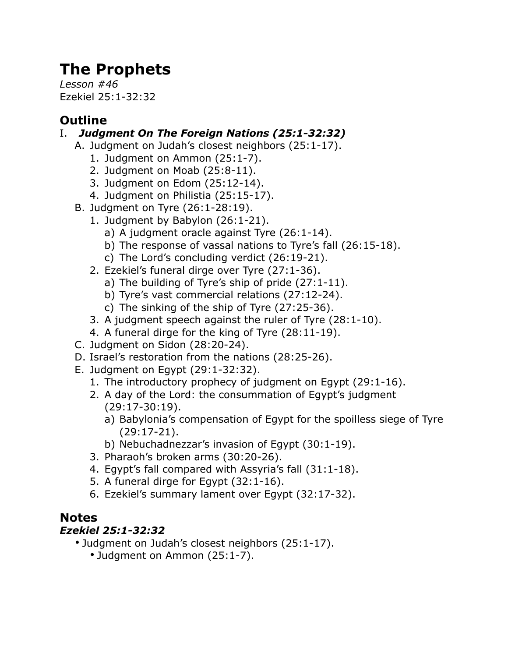# **The Prophets**

*Lesson #46* Ezekiel 25:1-32:32

## **Outline**

### I. *Judgment On The Foreign Nations (25:1-32:32)*

- A. Judgment on Judah's closest neighbors (25:1-17).
	- 1. Judgment on Ammon (25:1-7).
	- 2. Judgment on Moab (25:8-11).
	- 3. Judgment on Edom (25:12-14).
	- 4. Judgment on Philistia (25:15-17).
- B. Judgment on Tyre (26:1-28:19).
	- 1. Judgment by Babylon (26:1-21).
		- a) A judgment oracle against Tyre (26:1-14).
		- b) The response of vassal nations to Tyre's fall (26:15-18).
		- c) The Lord's concluding verdict (26:19-21).
	- 2. Ezekiel's funeral dirge over Tyre (27:1-36).
		- a) The building of Tyre's ship of pride (27:1-11).
		- b) Tyre's vast commercial relations (27:12-24).
		- c) The sinking of the ship of Tyre (27:25-36).
	- 3. A judgment speech against the ruler of Tyre (28:1-10).
	- 4. A funeral dirge for the king of Tyre (28:11-19).
- C. Judgment on Sidon (28:20-24).
- D. Israel's restoration from the nations (28:25-26).
- E. Judgment on Egypt (29:1-32:32).
	- 1. The introductory prophecy of judgment on Egypt (29:1-16).
	- 2. A day of the Lord: the consummation of Egypt's judgment (29:17-30:19).
		- a) Babylonia's compensation of Egypt for the spoilless siege of Tyre (29:17-21).
		- b) Nebuchadnezzar's invasion of Egypt (30:1-19).
	- 3. Pharaoh's broken arms (30:20-26).
	- 4. Egypt's fall compared with Assyria's fall (31:1-18).
	- 5. A funeral dirge for Egypt (32:1-16).
	- 6. Ezekiel's summary lament over Egypt (32:17-32).

## **Notes**

#### *Ezekiel 25:1-32:32*

- Judgment on Judah's closest neighbors (25:1-17).
	- Judgment on Ammon (25:1-7).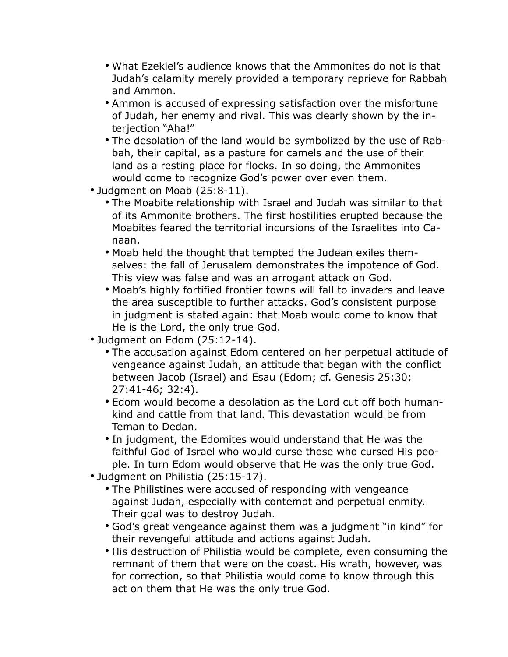- What Ezekiel's audience knows that the Ammonites do not is that Judah's calamity merely provided a temporary reprieve for Rabbah and Ammon.
- Ammon is accused of expressing satisfaction over the misfortune of Judah, her enemy and rival. This was clearly shown by the interjection "Aha!"
- The desolation of the land would be symbolized by the use of Rabbah, their capital, as a pasture for camels and the use of their land as a resting place for flocks. In so doing, the Ammonites would come to recognize God's power over even them.
- Judgment on Moab (25:8-11).
	- The Moabite relationship with Israel and Judah was similar to that of its Ammonite brothers. The first hostilities erupted because the Moabites feared the territorial incursions of the Israelites into Canaan.
	- Moab held the thought that tempted the Judean exiles themselves: the fall of Jerusalem demonstrates the impotence of God. This view was false and was an arrogant attack on God.
	- Moab's highly fortified frontier towns will fall to invaders and leave the area susceptible to further attacks. God's consistent purpose in judgment is stated again: that Moab would come to know that He is the Lord, the only true God.
- Judgment on Edom (25:12-14).
	- The accusation against Edom centered on her perpetual attitude of vengeance against Judah, an attitude that began with the conflict between Jacob (Israel) and Esau (Edom; cf. Genesis 25:30; 27:41-46; 32:4).
	- Edom would become a desolation as the Lord cut off both humankind and cattle from that land. This devastation would be from Teman to Dedan.
	- In judgment, the Edomites would understand that He was the faithful God of Israel who would curse those who cursed His people. In turn Edom would observe that He was the only true God.
- Judgment on Philistia (25:15-17).
	- The Philistines were accused of responding with vengeance against Judah, especially with contempt and perpetual enmity. Their goal was to destroy Judah.
	- God's great vengeance against them was a judgment "in kind" for their revengeful attitude and actions against Judah.
	- His destruction of Philistia would be complete, even consuming the remnant of them that were on the coast. His wrath, however, was for correction, so that Philistia would come to know through this act on them that He was the only true God.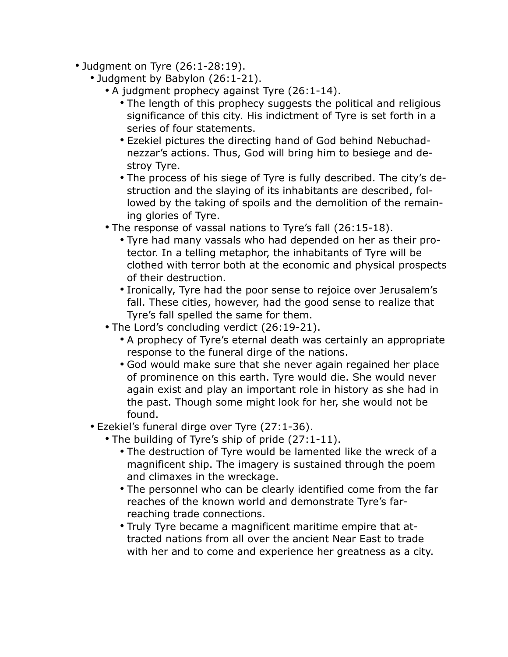- Judgment on Tyre (26:1-28:19).
	- Judgment by Babylon (26:1-21).
		- A judgment prophecy against Tyre (26:1-14).
			- The length of this prophecy suggests the political and religious significance of this city. His indictment of Tyre is set forth in a series of four statements.
			- Ezekiel pictures the directing hand of God behind Nebuchadnezzar's actions. Thus, God will bring him to besiege and destroy Tyre.
			- The process of his siege of Tyre is fully described. The city's destruction and the slaying of its inhabitants are described, followed by the taking of spoils and the demolition of the remaining glories of Tyre.
		- The response of vassal nations to Tyre's fall (26:15-18).
			- Tyre had many vassals who had depended on her as their protector. In a telling metaphor, the inhabitants of Tyre will be clothed with terror both at the economic and physical prospects of their destruction.
			- Ironically, Tyre had the poor sense to rejoice over Jerusalem's fall. These cities, however, had the good sense to realize that Tyre's fall spelled the same for them.
		- The Lord's concluding verdict (26:19-21).
			- A prophecy of Tyre's eternal death was certainly an appropriate response to the funeral dirge of the nations.
			- God would make sure that she never again regained her place of prominence on this earth. Tyre would die. She would never again exist and play an important role in history as she had in the past. Though some might look for her, she would not be found.
	- Ezekiel's funeral dirge over Tyre (27:1-36).
		- The building of Tyre's ship of pride (27:1-11).
			- The destruction of Tyre would be lamented like the wreck of a magnificent ship. The imagery is sustained through the poem and climaxes in the wreckage.
			- The personnel who can be clearly identified come from the far reaches of the known world and demonstrate Tyre's farreaching trade connections.
			- Truly Tyre became a magnificent maritime empire that attracted nations from all over the ancient Near East to trade with her and to come and experience her greatness as a city.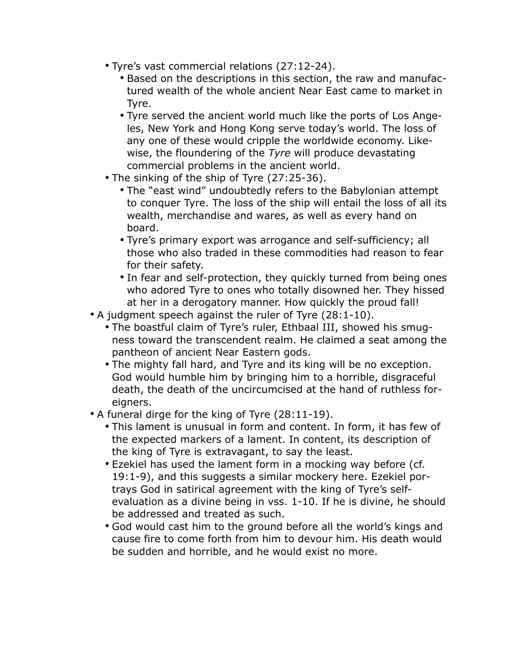- Tyre's vast commercial relations (27:12-24).
	- Based on the descriptions in this section, the raw and manufactured wealth of the whole ancient Near East came to market in Tyre.
	- Tyre served the ancient world much like the ports of Los Angeles, New York and Hong Kong serve today's world. The loss of any one of these would cripple the worldwide economy. Likewise, the floundering of the *Tyre* will produce devastating commercial problems in the ancient world.
- The sinking of the ship of Tyre (27:25-36).
	- The "east wind" undoubtedly refers to the Babylonian attempt to conquer Tyre. The loss of the ship will entail the loss of all its wealth, merchandise and wares, as well as every hand on board.
	- Tyre's primary export was arrogance and self-sufficiency; all those who also traded in these commodities had reason to fear for their safety.
	- In fear and self-protection, they quickly turned from being ones who adored Tyre to ones who totally disowned her. They hissed at her in a derogatory manner. How quickly the proud fall!
- A judgment speech against the ruler of Tyre (28:1-10).
	- The boastful claim of Tyre's ruler, Ethbaal III, showed his smugness toward the transcendent realm. He claimed a seat among the pantheon of ancient Near Eastern gods.
	- The mighty fall hard, and Tyre and its king will be no exception. God would humble him by bringing him to a horrible, disgraceful death, the death of the uncircumcised at the hand of ruthless foreigners.
- A funeral dirge for the king of Tyre (28:11-19).
	- This lament is unusual in form and content. In form, it has few of the expected markers of a lament. In content, its description of the king of Tyre is extravagant, to say the least.
	- Ezekiel has used the lament form in a mocking way before (cf. 19:1-9), and this suggests a similar mockery here. Ezekiel portrays God in satirical agreement with the king of Tyre's selfevaluation as a divine being in vss. 1-10. If he is divine, he should be addressed and treated as such.
	- God would cast him to the ground before all the world's kings and cause fire to come forth from him to devour him. His death would be sudden and horrible, and he would exist no more.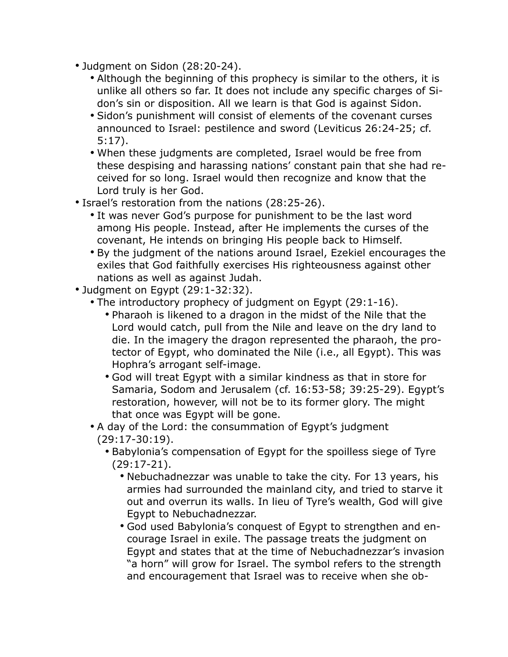- Judgment on Sidon (28:20-24).
	- Although the beginning of this prophecy is similar to the others, it is unlike all others so far. It does not include any specific charges of Sidon's sin or disposition. All we learn is that God is against Sidon.
	- Sidon's punishment will consist of elements of the covenant curses announced to Israel: pestilence and sword (Leviticus 26:24-25; cf. 5:17).
	- When these judgments are completed, Israel would be free from these despising and harassing nations' constant pain that she had received for so long. Israel would then recognize and know that the Lord truly is her God.
- Israel's restoration from the nations (28:25-26).
	- It was never God's purpose for punishment to be the last word among His people. Instead, after He implements the curses of the covenant, He intends on bringing His people back to Himself.
	- By the judgment of the nations around Israel, Ezekiel encourages the exiles that God faithfully exercises His righteousness against other nations as well as against Judah.
- Judgment on Egypt (29:1-32:32).
	- The introductory prophecy of judgment on Egypt (29:1-16).
		- Pharaoh is likened to a dragon in the midst of the Nile that the Lord would catch, pull from the Nile and leave on the dry land to die. In the imagery the dragon represented the pharaoh, the protector of Egypt, who dominated the Nile (i.e., all Egypt). This was Hophra's arrogant self-image.
		- God will treat Egypt with a similar kindness as that in store for Samaria, Sodom and Jerusalem (cf. 16:53-58; 39:25-29). Egypt's restoration, however, will not be to its former glory. The might that once was Egypt will be gone.
	- A day of the Lord: the consummation of Egypt's judgment (29:17-30:19).
		- Babylonia's compensation of Egypt for the spoilless siege of Tyre (29:17-21).
			- Nebuchadnezzar was unable to take the city. For 13 years, his armies had surrounded the mainland city, and tried to starve it out and overrun its walls. In lieu of Tyre's wealth, God will give Egypt to Nebuchadnezzar.
			- God used Babylonia's conquest of Egypt to strengthen and encourage Israel in exile. The passage treats the judgment on Egypt and states that at the time of Nebuchadnezzar's invasion "a horn" will grow for Israel. The symbol refers to the strength and encouragement that Israel was to receive when she ob-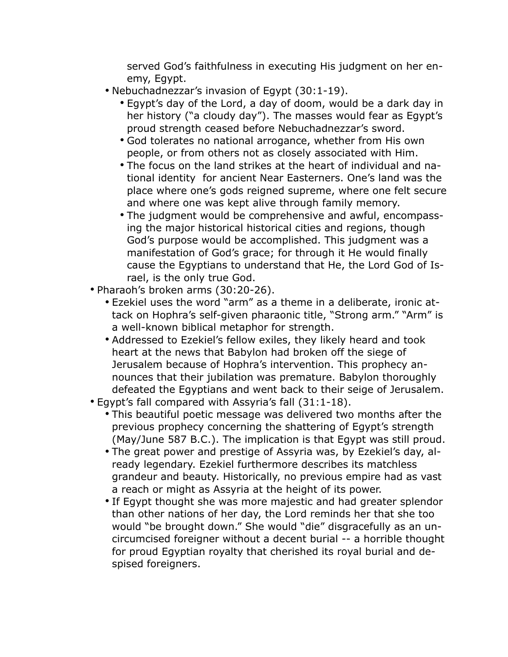served God's faithfulness in executing His judgment on her enemy, Egypt.

- Nebuchadnezzar's invasion of Egypt (30:1-19).
	- Egypt's day of the Lord, a day of doom, would be a dark day in her history ("a cloudy day"). The masses would fear as Egypt's proud strength ceased before Nebuchadnezzar's sword.
	- God tolerates no national arrogance, whether from His own people, or from others not as closely associated with Him.
	- The focus on the land strikes at the heart of individual and national identity for ancient Near Easterners. One's land was the place where one's gods reigned supreme, where one felt secure and where one was kept alive through family memory.
	- The judgment would be comprehensive and awful, encompassing the major historical historical cities and regions, though God's purpose would be accomplished. This judgment was a manifestation of God's grace; for through it He would finally cause the Egyptians to understand that He, the Lord God of Israel, is the only true God.
- Pharaoh's broken arms (30:20-26).
	- Ezekiel uses the word "arm" as a theme in a deliberate, ironic attack on Hophra's self-given pharaonic title, "Strong arm." "Arm" is a well-known biblical metaphor for strength.
	- Addressed to Ezekiel's fellow exiles, they likely heard and took heart at the news that Babylon had broken off the siege of Jerusalem because of Hophra's intervention. This prophecy announces that their jubilation was premature. Babylon thoroughly defeated the Egyptians and went back to their seige of Jerusalem.
- Egypt's fall compared with Assyria's fall (31:1-18).
	- This beautiful poetic message was delivered two months after the previous prophecy concerning the shattering of Egypt's strength (May/June 587 B.C.). The implication is that Egypt was still proud.
	- The great power and prestige of Assyria was, by Ezekiel's day, already legendary. Ezekiel furthermore describes its matchless grandeur and beauty. Historically, no previous empire had as vast a reach or might as Assyria at the height of its power.
	- If Egypt thought she was more majestic and had greater splendor than other nations of her day, the Lord reminds her that she too would "be brought down." She would "die" disgracefully as an uncircumcised foreigner without a decent burial -- a horrible thought for proud Egyptian royalty that cherished its royal burial and despised foreigners.